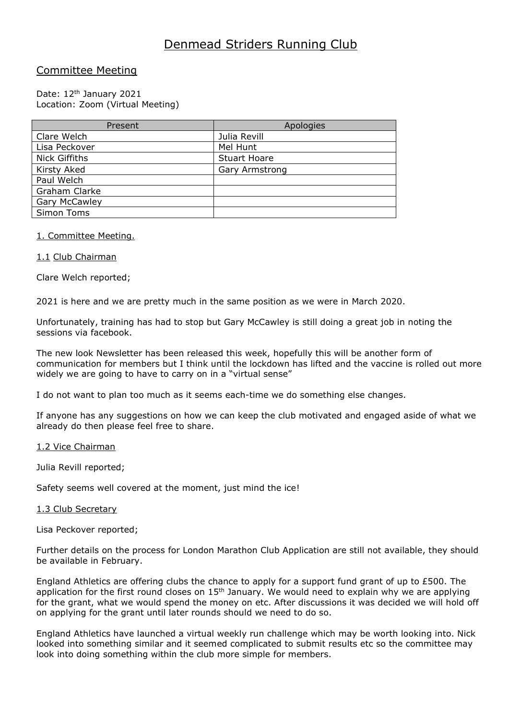# Denmead Striders Running Club

# Committee Meeting

# Date: 12<sup>th</sup> January 2021 Location: Zoom (Virtual Meeting)

| Present              | Apologies             |
|----------------------|-----------------------|
| Clare Welch          | Julia Revill          |
| Lisa Peckover        | Mel Hunt              |
| <b>Nick Giffiths</b> | <b>Stuart Hoare</b>   |
| Kirsty Aked          | <b>Gary Armstrong</b> |
| Paul Welch           |                       |
| Graham Clarke        |                       |
| <b>Gary McCawley</b> |                       |
| Simon Toms           |                       |

# 1. Committee Meeting.

# 1.1 Club Chairman

Clare Welch reported;

2021 is here and we are pretty much in the same position as we were in March 2020.

Unfortunately, training has had to stop but Gary McCawley is still doing a great job in noting the sessions via facebook.

The new look Newsletter has been released this week, hopefully this will be another form of communication for members but I think until the lockdown has lifted and the vaccine is rolled out more widely we are going to have to carry on in a "virtual sense"

I do not want to plan too much as it seems each-time we do something else changes.

If anyone has any suggestions on how we can keep the club motivated and engaged aside of what we already do then please feel free to share.

## 1.2 Vice Chairman

Julia Revill reported;

Safety seems well covered at the moment, just mind the ice!

## 1.3 Club Secretary

Lisa Peckover reported;

Further details on the process for London Marathon Club Application are still not available, they should be available in February.

England Athletics are offering clubs the chance to apply for a support fund grant of up to £500. The application for the first round closes on  $15<sup>th</sup>$  January. We would need to explain why we are applying for the grant, what we would spend the money on etc. After discussions it was decided we will hold off on applying for the grant until later rounds should we need to do so.

England Athletics have launched a virtual weekly run challenge which may be worth looking into. Nick looked into something similar and it seemed complicated to submit results etc so the committee may look into doing something within the club more simple for members.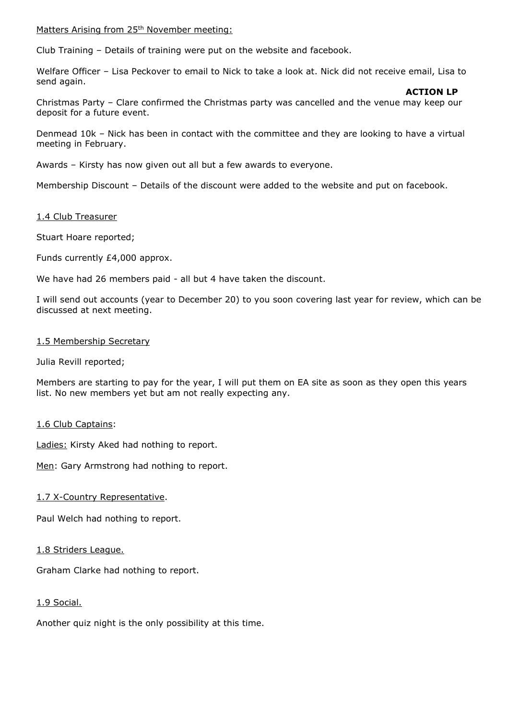Matters Arising from 25<sup>th</sup> November meeting:

Club Training – Details of training were put on the website and facebook.

Welfare Officer – Lisa Peckover to email to Nick to take a look at. Nick did not receive email, Lisa to send again.

#### **ACTION LP**

Christmas Party – Clare confirmed the Christmas party was cancelled and the venue may keep our deposit for a future event.

Denmead 10k – Nick has been in contact with the committee and they are looking to have a virtual meeting in February.

Awards – Kirsty has now given out all but a few awards to everyone.

Membership Discount – Details of the discount were added to the website and put on facebook.

#### 1.4 Club Treasurer

Stuart Hoare reported;

Funds currently £4,000 approx.

We have had 26 members paid - all but 4 have taken the discount.

I will send out accounts (year to December 20) to you soon covering last year for review, which can be discussed at next meeting.

#### 1.5 Membership Secretary

Julia Revill reported;

Members are starting to pay for the year, I will put them on EA site as soon as they open this years list. No new members yet but am not really expecting any.

## 1.6 Club Captains:

Ladies: Kirsty Aked had nothing to report.

Men: Gary Armstrong had nothing to report.

1.7 X-Country Representative.

Paul Welch had nothing to report.

1.8 Striders League.

Graham Clarke had nothing to report.

## 1.9 Social.

Another quiz night is the only possibility at this time.